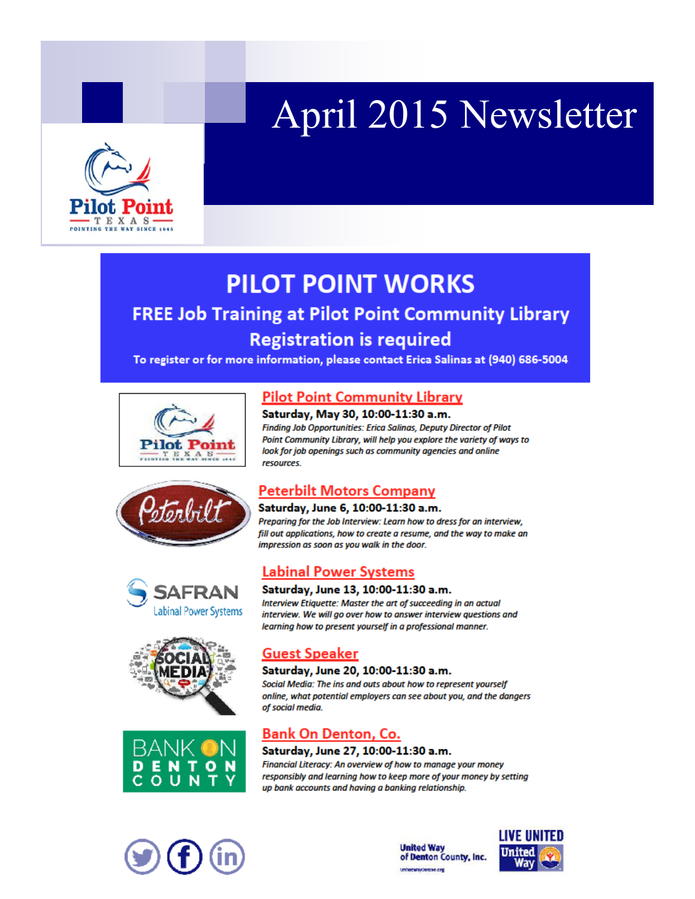# April 2015 Newsletter



# **PILOT POINT WORKS**

# **FREE Job Training at Pilot Point Community Library Registration is required**

To register or for more information, please contact Erica Salinas at (940) 686-5004



#### **Pilot Point Community Library**

Saturday, May 30, 10:00-11:30 a.m. Finding Job Opportunities: Erica Salinas, Deputy Director of Pilot Point Community Library, will help you explore the variety of ways to look for job openings such as community agencies and online resources.



### **Peterbilt Motors Company**

Saturday, June 6, 10:00-11:30 a.m. Preparing for the Job Interview: Learn how to dress for an interview,

SAFRAN Labinal Power Systems





### **Labinal Power Systems**

Saturday, June 13, 10:00-11:30 a.m.

Interview Etiquette: Master the art of succeeding in an actual interview. We will go over how to answer interview questions and learning how to present yourself in a professional manner.

# <u>Guest Speaker</u>

Saturday, June 20, 10:00-11:30 a.m.

Social Media: The ins and outs about how to represent yourself online, what potential employers can see about you, and the dangers of social media.

# **Bank On Denton, Co.**

#### Saturday, June 27, 10:00-11:30 a.m.

Financial Literacy: An overview of how to manage your money responsibly and learning how to keep more of your money by setting up bank accounts and having a banking relationship.



**United Way** of Denton County, Inc. **UnitedwayDenter.org**